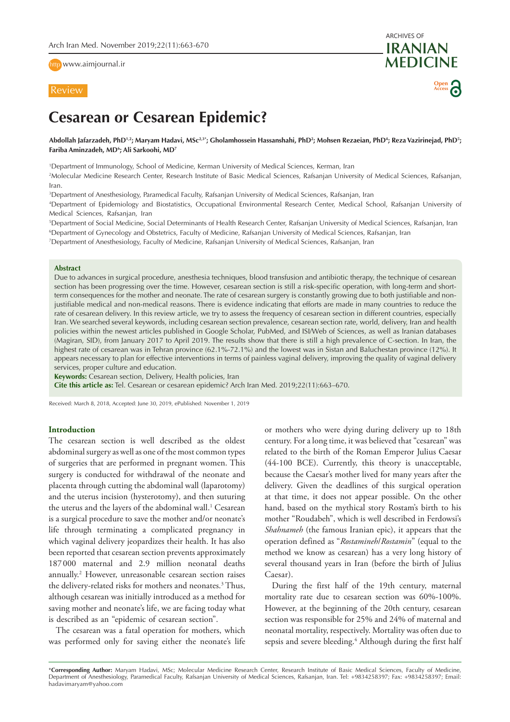http [www.aimjournal.ir](http://www.aimjournal.ir)



ARCHIVES OF **IRANIAN MEDICINE Open Access**

# **Cesarean or Cesarean Epidemic?**

Abdollah Jafarzadeh, PhD½; Maryam Hadavi, MSc23\*; Gholamhossein Hassanshahi, PhD²; Mohsen Rezaeian, PhD<sup>4</sup>; Reza Vazirinejad, PhD<sup>5</sup>; **Fariba Aminzadeh, MD6 ; Ali Sarkoohi, MD7**

1 Department of Immunology, School of Medicine, Kerman University of Medical Sciences, Kerman, Iran

2 Molecular Medicine Research Center, Research Institute of Basic Medical Sciences, Rafsanjan University of Medical Sciences, Rafsanjan, Iran.

3 Department of Anesthesiology, Paramedical Faculty, Rafsanjan University of Medical Sciences, Rafsanjan, Iran

4 Department of Epidemiology and Biostatistics, Occupational Environmental Research Center, Medical School, Rafsanjan University of Medical Sciences, Rafsanjan, Iran

5 Department of Social Medicine, Social Determinants of Health Research Center, Rafsanjan University of Medical Sciences, Rafsanjan, Iran 6 Department of Gynecology and Obstetrics, Faculty of Medicine, Rafsanjan University of Medical Sciences, Rafsanjan, Iran

7 Department of Anesthesiology, Faculty of Medicine, Rafsanjan University of Medical Sciences, Rafsanjan, Iran

## **Abstract**

Due to advances in surgical procedure, anesthesia techniques, blood transfusion and antibiotic therapy, the technique of cesarean section has been progressing over the time. However, cesarean section is still a risk-specific operation, with long-term and shortterm consequences for the mother and neonate. The rate of cesarean surgery is constantly growing due to both justifiable and nonjustifiable medical and non-medical reasons. There is evidence indicating that efforts are made in many countries to reduce the rate of cesarean delivery. In this review article, we try to assess the frequency of cesarean section in different countries, especially Iran. We searched several keywords, including cesarean section prevalence, cesarean section rate, world, delivery, Iran and health policies within the newest articles published in Google Scholar, PubMed, and ISI/Web of Sciences, as well as Iranian databases (Magiran, SID), from January 2017 to April 2019. The results show that there is still a high prevalence of C-section. In Iran, the highest rate of cesarean was in Tehran province (62.1%-72.1%) and the lowest was in Sistan and Baluchestan province (12%). It appears necessary to plan for effective interventions in terms of painless vaginal delivery, improving the quality of vaginal delivery services, proper culture and education.

**Keywords:** Cesarean section, Delivery, Health policies, Iran

**Cite this article as:** Tel. Cesarean or cesarean epidemic? Arch Iran Med. 2019;22(11):663–670.

Received: March 8, 2018, Accepted: June 30, 2019, ePublished: November 1, 2019

# **Introduction**

The cesarean section is well described as the oldest abdominal surgery as well as one of the most common types of surgeries that are performed in pregnant women. This surgery is conducted for withdrawal of the neonate and placenta through cutting the abdominal wall (laparotomy) and the uterus incision (hysterotomy), and then suturing the uterus and the layers of the abdominal wall.<sup>1</sup> Cesarean is a surgical procedure to save the mother and/or neonate's life through terminating a complicated pregnancy in which vaginal delivery jeopardizes their health. It has also been reported that cesarean section prevents approximately 187 000 maternal and 2.9 million neonatal deaths annually.2 However, unreasonable cesarean section raises the delivery-related risks for mothers and neonates.<sup>3</sup> Thus, although cesarean was initially introduced as a method for saving mother and neonate's life, we are facing today what is described as an "epidemic of cesarean section".

The cesarean was a fatal operation for mothers, which was performed only for saving either the neonate's life or mothers who were dying during delivery up to 18th century. For a long time, it was believed that "cesarean" was related to the birth of the Roman Emperor Julius Caesar (44-100 BCE). Currently, this theory is unacceptable, because the Caesar's mother lived for many years after the delivery. Given the deadlines of this surgical operation at that time, it does not appear possible. On the other hand, based on the mythical story Rostam's birth to his mother "Roudabeh", which is well described in Ferdowsi's *Shahnameh* (the famous Iranian epic), it appears that the operation defined as "*Rostamineh*/*Rostamin*" (equal to the method we know as cesarean) has a very long history of several thousand years in Iran (before the birth of Julius Caesar).

During the first half of the 19th century, maternal mortality rate due to cesarean section was 60%-100%. However, at the beginning of the 20th century, cesarean section was responsible for 25% and 24% of maternal and neonatal mortality, respectively. Mortality was often due to sepsis and severe bleeding.<sup>4</sup> Although during the first half

\***Corresponding Author:** Maryam Hadavi, MSc; Molecular Medicine Research Center, Research Institute of Basic Medical Sciences, Faculty of Medicine, Department of Anesthesiology, Paramedical Faculty, Rafsanjan University of Medical Sciences, Rafsanjan, Iran. Tel: +9834258397; Fax: +9834258397; Email: hadavimaryam@yahoo.com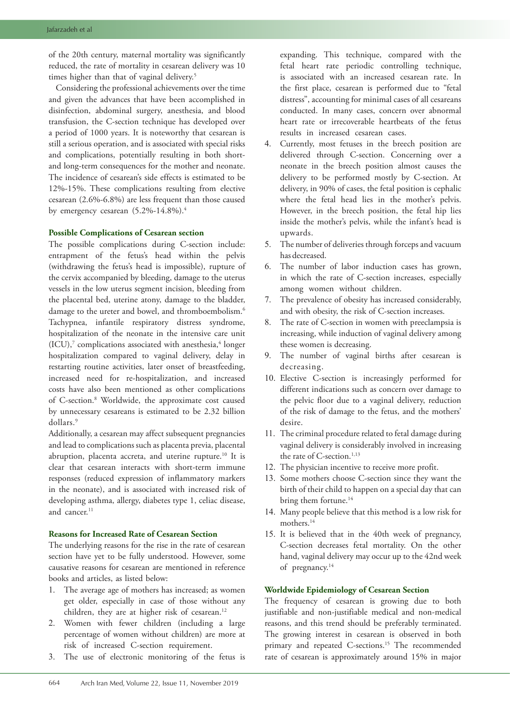of the 20th century, maternal mortality was significantly reduced, the rate of mortality in cesarean delivery was 10 times higher than that of vaginal delivery.<sup>5</sup>

Considering the professional achievements over the time and given the advances that have been accomplished in disinfection, abdominal surgery, anesthesia, and blood transfusion, the C-section technique has developed over a period of 1000 years. It is noteworthy that cesarean is still a serious operation, and is associated with special risks and complications, potentially resulting in both shortand long-term consequences for the mother and neonate. The incidence of cesarean's side effects is estimated to be 12%-15%. These complications resulting from elective cesarean (2.6%-6.8%) are less frequent than those caused by emergency cesarean (5.2%-14.8%).<sup>4</sup>

## **Possible Complications of Cesarean section**

The possible complications during C-section include: entrapment of the fetus's head within the pelvis (withdrawing the fetus's head is impossible), rupture of the cervix accompanied by bleeding, damage to the uterus vessels in the low uterus segment incision, bleeding from the placental bed, uterine atony, damage to the bladder, damage to the ureter and bowel, and thromboembolism.<sup>6</sup> Tachypnea, infantile respiratory distress syndrome, hospitalization of the neonate in the intensive care unit  $(ICU),^7$  complications associated with anesthesia,<sup>4</sup> longer hospitalization compared to vaginal delivery, delay in restarting routine activities, later onset of breastfeeding, increased need for re-hospitalization, and increased costs have also been mentioned as other complications of C-section.8 Worldwide, the approximate cost caused by unnecessary cesareans is estimated to be 2.32 billion dollars.9

Additionally, a cesarean may affect subsequent pregnancies and lead to complications such as placenta previa, placental abruption, placenta accreta, and uterine rupture.<sup>10</sup> It is clear that cesarean interacts with short-term immune responses (reduced expression of inflammatory markers in the neonate), and is associated with increased risk of developing asthma, allergy, diabetes type 1, celiac disease, and cancer.<sup>11</sup>

# **Reasons for Increased Rate of Cesarean Section**

The underlying reasons for the rise in the rate of cesarean section have yet to be fully understood. However, some causative reasons for cesarean are mentioned in reference books and articles, as listed below:

- 1. The average age of mothers has increased; as women get older, especially in case of those without any children, they are at higher risk of cesarean.<sup>12</sup>
- 2. Women with fewer children (including a large percentage of women without children) are more at risk of increased C-section requirement.
- 3. The use of electronic monitoring of the fetus is

expanding. This technique, compared with the fetal heart rate periodic controlling technique, is associated with an increased cesarean rate. In the first place, cesarean is performed due to "fetal distress", accounting for minimal cases of all cesareans conducted. In many cases, concern over abnormal heart rate or irrecoverable heartbeats of the fetus results in increased cesarean cases.

- 4. Currently, most fetuses in the breech position are delivered through C-section. Concerning over a neonate in the breech position almost causes the delivery to be performed mostly by C-section. At delivery, in 90% of cases, the fetal position is cephalic where the fetal head lies in the mother's pelvis. However, in the breech position, the fetal hip lies inside the mother's pelvis, while the infant's head is upwards.
- 5. The number of deliveries through forceps and vacuum has decreased.
- 6. The number of labor induction cases has grown, in which the rate of C-section increases, especially among women without children.
- 7. The prevalence of obesity has increased considerably, and with obesity, the risk of C-section increases.
- 8. The rate of C-section in women with preeclampsia is increasing, while induction of vaginal delivery among these women is decreasing.
- 9. The number of vaginal births after cesarean is decreasing.
- 10. Elective C-section is increasingly performed for different indications such as concern over damage to the pelvic floor due to a vaginal delivery, reduction of the risk of damage to the fetus, and the mothers' desire.
- 11. The criminal procedure related to fetal damage during vaginal delivery is considerably involved in increasing the rate of C-section.<sup>1,13</sup>
- 12. The physician incentive to receive more profit.
- 13. Some mothers choose C-section since they want the birth of their child to happen on a special day that can bring them fortune.<sup>14</sup>
- 14. Many people believe that this method is a low risk for mothers.14
- 15. It is believed that in the 40th week of pregnancy, C-section decreases fetal mortality. On the other hand, vaginal delivery may occur up to the 42nd week of pregnancy.14

# **Worldwide Epidemiology of Cesarean Section**

The frequency of cesarean is growing due to both justifiable and non-justifiable medical and non-medical reasons, and this trend should be preferably terminated. The growing interest in cesarean is observed in both primary and repeated C-sections.<sup>15</sup> The recommended rate of cesarean is approximately around 15% in major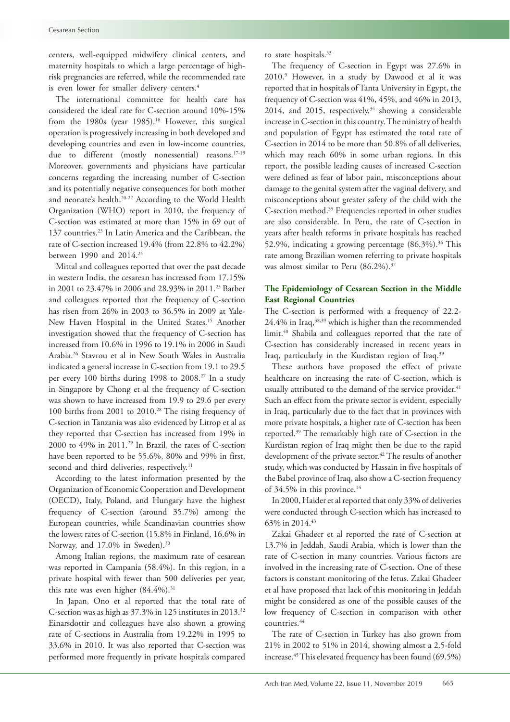centers, well-equipped midwifery clinical centers, and maternity hospitals to which a large percentage of highrisk pregnancies are referred, while the recommended rate is even lower for smaller delivery centers.<sup>4</sup>

The international committee for health care has considered the ideal rate for C-section around 10%-15% from the 1980s (year 1985).<sup>16</sup> However, this surgical operation is progressively increasing in both developed and developing countries and even in low-income countries, due to different (mostly nonessential) reasons.<sup>17-19</sup> Moreover, governments and physicians have particular concerns regarding the increasing number of C-section and its potentially negative consequences for both mother and neonate's health.20-22 According to the World Health Organization (WHO) report in 2010, the frequency of C-section was estimated at more than 15% in 69 out of 137 countries.<sup>23</sup> In Latin America and the Caribbean, the rate of C-section increased 19.4% (from 22.8% to 42.2%) between 1990 and 2014.24

Mittal and colleagues reported that over the past decade in western India, the cesarean has increased from 17.15% in 2001 to 23.47% in 2006 and 28.93% in 2011.25 Barber and colleagues reported that the frequency of C-section has risen from 26% in 2003 to 36.5% in 2009 at Yale-New Haven Hospital in the United States.<sup>15</sup> Another investigation showed that the frequency of C-section has increased from 10.6% in 1996 to 19.1% in 2006 in Saudi Arabia.26 Stavrou et al in New South Wales in Australia indicated a general increase in C-section from 19.1 to 29.5 per every 100 births during 1998 to 2008.<sup>27</sup> In a study in Singapore by Chong et al the frequency of C-section was shown to have increased from 19.9 to 29.6 per every 100 births from 2001 to 2010.28 The rising frequency of C-section in Tanzania was also evidenced by Litrop et al as they reported that C-section has increased from 19% in 2000 to  $49\%$  in 2011.<sup>29</sup> In Brazil, the rates of C-section have been reported to be 55.6%, 80% and 99% in first, second and third deliveries, respectively.<sup>11</sup>

According to the latest information presented by the Organization of Economic Cooperation and Development (OECD), Italy, Poland, and Hungary have the highest frequency of C-section (around 35.7%) among the European countries, while Scandinavian countries show the lowest rates of C-section (15.8% in Finland, 16.6% in Norway, and 17.0% in Sweden).<sup>30</sup>

Among Italian regions, the maximum rate of cesarean was reported in Campania (58.4%). In this region, in a private hospital with fewer than 500 deliveries per year, this rate was even higher  $(84.4\%)$ .<sup>31</sup>

In Japan, Ono et al reported that the total rate of C-section was as high as 37.3% in 125 institutes in 2013.32 Einarsdottir and colleagues have also shown a growing rate of C-sections in Australia from 19.22% in 1995 to 33.6% in 2010. It was also reported that C-section was performed more frequently in private hospitals compared

to state hospitals.<sup>33</sup>

The frequency of C-section in Egypt was 27.6% in 2010.9 However, in a study by Dawood et al it was reported that in hospitals of Tanta University in Egypt, the frequency of C-section was 41%, 45%, and 46% in 2013, 2014, and 2015, respectively, $34$  showing a considerable increase in C-section in this country. The ministry of health and population of Egypt has estimated the total rate of C-section in 2014 to be more than 50.8% of all deliveries, which may reach 60% in some urban regions. In this report, the possible leading causes of increased C-section were defined as fear of labor pain, misconceptions about damage to the genital system after the vaginal delivery, and misconceptions about greater safety of the child with the C-section method.35 Frequencies reported in other studies are also considerable. In Peru, the rate of C-section in years after health reforms in private hospitals has reached 52.9%, indicating a growing percentage  $(86.3\%)$ .<sup>36</sup> This rate among Brazilian women referring to private hospitals was almost similar to Peru (86.2%).<sup>37</sup>

# **The Epidemiology of Cesarean Section in the Middle East Regional Countries**

The C-section is performed with a frequency of 22.2- 24.4% in Iraq,38,39 which is higher than the recommended limit.<sup>40</sup> Shabila and colleagues reported that the rate of C-section has considerably increased in recent years in Iraq, particularly in the Kurdistan region of Iraq.<sup>39</sup>

These authors have proposed the effect of private healthcare on increasing the rate of C-section, which is usually attributed to the demand of the service provider.<sup>41</sup> Such an effect from the private sector is evident, especially in Iraq, particularly due to the fact that in provinces with more private hospitals, a higher rate of C-section has been reported.39 The remarkably high rate of C-section in the Kurdistan region of Iraq might then be due to the rapid development of the private sector.<sup>42</sup> The results of another study, which was conducted by Hassain in five hospitals of the Babel province of Iraq, also show a C-section frequency of 34.5% in this province.<sup>14</sup>

In 2000, Haider et al reported that only 33% of deliveries were conducted through C-section which has increased to 63% in 2014.43

Zakai Ghadeer et al reported the rate of C-section at 13.7% in Jeddah, Saudi Arabia, which is lower than the rate of C-section in many countries. Various factors are involved in the increasing rate of C-section. One of these factors is constant monitoring of the fetus. Zakai Ghadeer et al have proposed that lack of this monitoring in Jeddah might be considered as one of the possible causes of the low frequency of C-section in comparison with other countries.44

The rate of C-section in Turkey has also grown from 21% in 2002 to 51% in 2014, showing almost a 2.5-fold increase.45 This elevated frequency has been found (69.5%)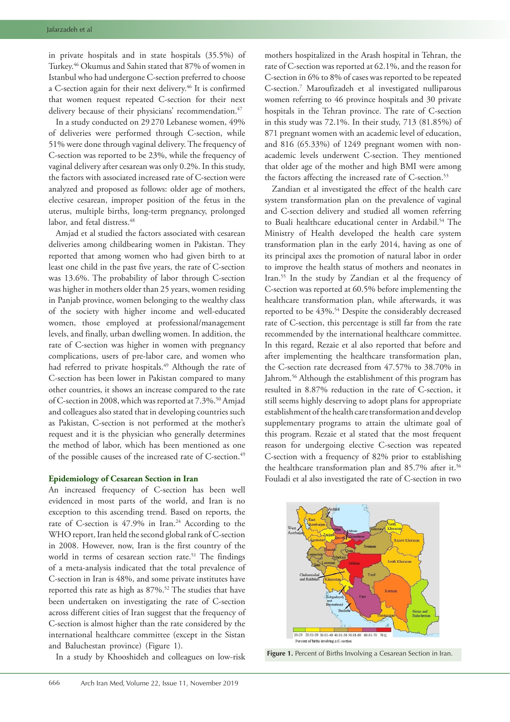in private hospitals and in state hospitals (35.5%) of Turkey.46 Okumus and Sahin stated that 87% of women in Istanbul who had undergone C-section preferred to choose a C-section again for their next delivery.<sup>46</sup> It is confirmed that women request repeated C-section for their next delivery because of their physicians' recommendation.<sup>47</sup>

In a study conducted on 29 270 Lebanese women, 49% of deliveries were performed through C-section, while 51% were done through vaginal delivery. The frequency of C-section was reported to be 23%, while the frequency of vaginal delivery after cesarean was only 0.2%. In this study, the factors with associated increased rate of C-section were analyzed and proposed as follows: older age of mothers, elective cesarean, improper position of the fetus in the uterus, multiple births, long-term pregnancy, prolonged labor, and fetal distress.<sup>48</sup>

Amjad et al studied the factors associated with cesarean deliveries among childbearing women in Pakistan. They reported that among women who had given birth to at least one child in the past five years, the rate of C-section was 13.6%. The probability of labor through C-section was higher in mothers older than 25 years, women residing in Panjab province, women belonging to the wealthy class of the society with higher income and well-educated women, those employed at professional/management levels, and finally, urban dwelling women. In addition, the rate of C-section was higher in women with pregnancy complications, users of pre-labor care, and women who had referred to private hospitals.<sup>49</sup> Although the rate of C-section has been lower in Pakistan compared to many other countries, it shows an increase compared to the rate of C-section in 2008, which was reported at 7.3%.<sup>50</sup> Amjad and colleagues also stated that in developing countries such as Pakistan, C-section is not performed at the mother's request and it is the physician who generally determines the method of labor, which has been mentioned as one of the possible causes of the increased rate of C-section.<sup>49</sup>

# **Epidemiology of Cesarean Section in Iran**

An increased frequency of C-section has been well evidenced in most parts of the world, and Iran is no exception to this ascending trend. Based on reports, the rate of C-section is 47.9% in Iran.<sup>24</sup> According to the WHO report, Iran held the second global rank of C-section in 2008. However, now, Iran is the first country of the world in terms of cesarean section rate.<sup>51</sup> The findings of a meta-analysis indicated that the total prevalence of C-section in Iran is 48%, and some private institutes have reported this rate as high as 87%.<sup>52</sup> The studies that have been undertaken on investigating the rate of C-section across different cities of Iran suggest that the frequency of C-section is almost higher than the rate considered by the international healthcare committee (except in the Sistan and Baluchestan province) (Figure 1).

In a study by Khooshideh and colleagues on low-risk

mothers hospitalized in the Arash hospital in Tehran, the rate of C-section was reported at 62.1%, and the reason for C-section in 6% to 8% of cases was reported to be repeated C-section.7 Maroufizadeh et al investigated nulliparous women referring to 46 province hospitals and 30 private hospitals in the Tehran province. The rate of C-section in this study was 72.1%. In their study, 713 (81.85%) of 871 pregnant women with an academic level of education, and 816 (65.33%) of 1249 pregnant women with nonacademic levels underwent C-section. They mentioned that older age of the mother and high BMI were among the factors affecting the increased rate of C-section.<sup>53</sup>

Zandian et al investigated the effect of the health care system transformation plan on the prevalence of vaginal and C-section delivery and studied all women referring to Buali healthcare educational center in Ardabil.<sup>54</sup> The Ministry of Health developed the health care system transformation plan in the early 2014, having as one of its principal axes the promotion of natural labor in order to improve the health status of mothers and neonates in Iran.55 In the study by Zandian et al the frequency of C-section was reported at 60.5% before implementing the healthcare transformation plan, while afterwards, it was reported to be 43%.<sup>54</sup> Despite the considerably decreased rate of C-section, this percentage is still far from the rate recommended by the international healthcare committee. In this regard, Rezaie et al also reported that before and after implementing the healthcare transformation plan, the C-section rate decreased from 47.57% to 38.70% in Jahrom.<sup>56</sup> Although the establishment of this program has resulted in 8.87% reduction in the rate of C-section, it still seems highly deserving to adopt plans for appropriate establishment of the health care transformation and develop supplementary programs to attain the ultimate goal of this program. Rezaie et al stated that the most frequent reason for undergoing elective C-section was repeated C-section with a frequency of 82% prior to establishing the healthcare transformation plan and 85.7% after it.<sup>56</sup> Fouladi et al also investigated the rate of C-section in two



**Figure 1.** Percent of Births Involving a Cesarean Section in Iran.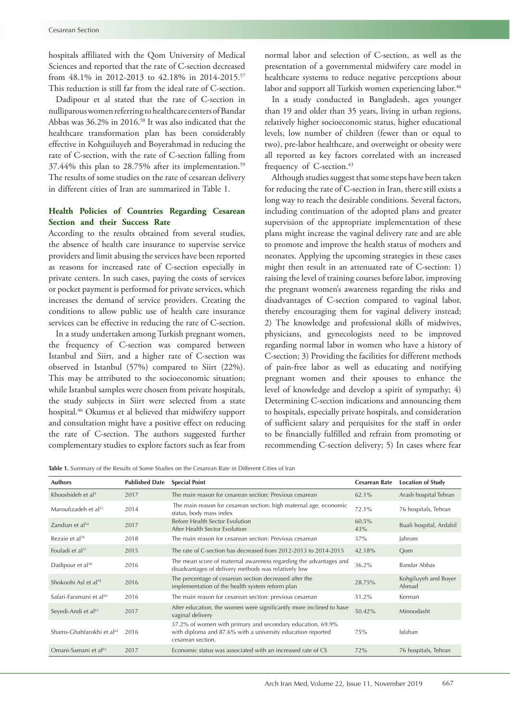hospitals affiliated with the Qom University of Medical Sciences and reported that the rate of C-section decreased from 48.1% in 2012-2013 to 42.18% in 2014-2015.57 This reduction is still far from the ideal rate of C-section.

Dadipour et al stated that the rate of C-section in nulliparous women referring to healthcare centers of Bandar Abbas was 36.2% in 2016.58 It was also indicated that the healthcare transformation plan has been considerably effective in Kohguiluyeh and Boyerahmad in reducing the rate of C-section, with the rate of C-section falling from 37.44% this plan to 28.75% after its implementation.<sup>59</sup> The results of some studies on the rate of cesarean delivery in different cities of Iran are summarized in Table 1.

# **Health Policies of Countries Regarding Cesarean Section and their Success Rate**

According to the results obtained from several studies, the absence of health care insurance to supervise service providers and limit abusing the services have been reported as reasons for increased rate of C-section especially in private centers. In such cases, paying the costs of services or pocket payment is performed for private services, which increases the demand of service providers. Creating the conditions to allow public use of health care insurance services can be effective in reducing the rate of C-section.

In a study undertaken among Turkish pregnant women, the frequency of C-section was compared between Istanbul and Siirt, and a higher rate of C-section was observed in Istanbul (57%) compared to Siirt (22%). This may be attributed to the socioeconomic situation; while Istanbul samples were chosen from private hospitals, the study subjects in Siirt were selected from a state hospital.46 Okumus et al believed that midwifery support and consultation might have a positive effect on reducing the rate of C-section. The authors suggested further complementary studies to explore factors such as fear from

normal labor and selection of C-section, as well as the presentation of a governmental midwifery care model in healthcare systems to reduce negative perceptions about labor and support all Turkish women experiencing labor.<sup>46</sup>

In a study conducted in Bangladesh, ages younger than 19 and older than 35 years, living in urban regions, relatively higher socioeconomic status, higher educational levels, low number of children (fewer than or equal to two), pre-labor healthcare, and overweight or obesity were all reported as key factors correlated with an increased frequency of C-section.<sup>43</sup>

Although studies suggest that some steps have been taken for reducing the rate of C-section in Iran, there still exists a long way to reach the desirable conditions. Several factors, including continuation of the adopted plans and greater supervision of the appropriate implementation of these plans might increase the vaginal delivery rate and are able to promote and improve the health status of mothers and neonates. Applying the upcoming strategies in these cases might then result in an attenuated rate of C-section: 1) raising the level of training courses before labor, improving the pregnant women's awareness regarding the risks and disadvantages of C-section compared to vaginal labor, thereby encouraging them for vaginal delivery instead; 2) The knowledge and professional skills of midwives, physicians, and gynecologists need to be improved regarding normal labor in women who have a history of C-section; 3) Providing the facilities for different methods of pain-free labor as well as educating and notifying pregnant women and their spouses to enhance the level of knowledge and develop a spirit of sympathy; 4) Determining C-section indications and announcing them to hospitals, especially private hospitals, and consideration of sufficient salary and perquisites for the staff in order to be financially fulfilled and refrain from promoting or recommending C-section delivery; 5) In cases where fear

**Table 1.** Summary of the Results of Some Studies on the Cesarean Rate in Different Cities of Iran

| <b>Authors</b>                        | <b>Published Date</b> | <b>Special Point</b>                                                                                                                           | <b>Cesarean Rate</b> | <b>Location of Study</b>      |
|---------------------------------------|-----------------------|------------------------------------------------------------------------------------------------------------------------------------------------|----------------------|-------------------------------|
| Khooshideh et al <sup>9</sup>         | 2017                  | The main reason for cesarean section: Previous cesarean                                                                                        | 62.1%                | Arash hospital Tehran         |
| Maroufizadeh et al <sup>53</sup>      | 2014                  | The main reason for cesarean section: high maternal age, economic<br>status, body mass index                                                   | 72.1%                | 76 hospitals, Tehran          |
| Zandian et al <sup>54</sup>           | 2017                  | Before Health Sector Evolution<br>After Health Sector Evolution                                                                                | 60.5%<br>43%         | Buali hospital, Ardabil       |
| Rezaie et al <sup>56</sup>            | 2018                  | The main reason for cesarean section: Previous cesarean                                                                                        | 37%                  | Jahrom                        |
| Fouladi et al <sup>57</sup>           | 2015                  | The rate of C-section has decreased from 2012-2013 to 2014-2015                                                                                | 42.18%               | Oom                           |
| Dadipour et al <sup>58</sup>          | 2016                  | The mean score of maternal awareness regarding the advantages and<br>disadvantages of delivery methods was relatively low                      | 36.2%                | Bandar Abbas                  |
| Shokoohi Asl et al <sup>59</sup>      | 2016                  | The percentage of cesarean section decreased after the<br>implementation of the health system reform plan                                      | 28.75%               | Kohgiluyeh and Boyer<br>Ahmad |
| Safari-Faramani et al <sup>60</sup>   | 2016                  | The main reason for cesarean section: previous cesarean                                                                                        | 51.2%                | Kerman                        |
| Seyedi-Andi et al <sup>61</sup>       | 2017                  | After education, the women were significantly more inclined to have<br>vaginal delivery                                                        | 50.42%               | Minoodasht                    |
| Shams-Ghahfarokhi et al <sup>62</sup> | 2016                  | 37.2% of women with primary and secondary education, 69.9%<br>with diploma and 87.6% with a university education reported<br>cesarean section. | 75%                  | Isfahan                       |
| Omani-Samani et al <sup>63</sup>      | 2017                  | Economic status was associated with an increased rate of CS                                                                                    | 72%                  | 76 hospitals, Tehran          |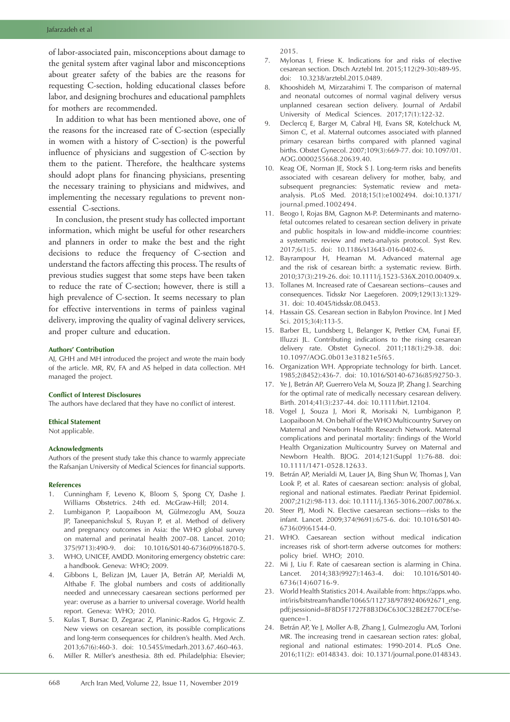## Jafarzadeh et al

of labor-associated pain, misconceptions about damage to the genital system after vaginal labor and misconceptions about greater safety of the babies are the reasons for requesting C-section, holding educational classes before labor, and designing brochures and educational pamphlets for mothers are recommended.

In addition to what has been mentioned above, one of the reasons for the increased rate of C-section (especially in women with a history of C-section) is the powerful influence of physicians and suggestion of C-section by them to the patient. Therefore, the healthcare systems should adopt plans for financing physicians, presenting the necessary training to physicians and midwives, and implementing the necessary regulations to prevent nonessential C-sections.

In conclusion, the present study has collected important information, which might be useful for other researchers and planners in order to make the best and the right decisions to reduce the frequency of C-section and understand the factors affecting this process. The results of previous studies suggest that some steps have been taken to reduce the rate of C-section; however, there is still a high prevalence of C-section. It seems necessary to plan for effective interventions in terms of painless vaginal delivery, improving the quality of vaginal delivery services, and proper culture and education.

## **Authors' Contribution**

AJ, GHH and MH introduced the project and wrote the main body of the article. MR, RV, FA and AS helped in data collection. MH managed the project.

## **Conflict of Interest Disclosures**

The authors have declared that they have no conflict of interest.

#### **Ethical Statement**

Not applicable.

#### **Acknowledgments**

Authors of the present study take this chance to warmly appreciate the Rafsanjan University of Medical Sciences for financial supports.

## **References**

- 1. Cunningham F, Leveno K, Bloom S, Spong CY, Dashe J. Williams Obstetrics. 24th ed. McGraw-Hill; 2014.
- 2. Lumbiganon P, Laopaiboon M, Gülmezoglu AM, Souza JP, Taneepanichskul S, Ruyan P, et al. Method of delivery and pregnancy outcomes in Asia: the WHO global survey on maternal and perinatal health 2007–08. Lancet. 2010; 375(9713):490-9. doi: 10.1016/S0140-6736(09)61870-5.
- 3. WHO, UNICEF, AMDD. Monitoring emergency obstetric care: a handbook. Geneva: WHO; 2009.
- 4. Gibbons L, Belizan JM, Lauer JA, Betrán AP, Merialdi M, Althabe F. The global numbers and costs of additionally needed and unnecessary caesarean sections performed per year: overuse as a barrier to universal coverage. World health report. Geneva: WHO; 2010.
- 5. Kulas T, Bursac D, Zegarac Z, Planinic-Rados G, Hrgovic Z. New views on cesarean section, its possible complications and long-term consequences for children's health. Med Arch. 2013;67(6):460-3. doi: 10.5455/medarh.2013.67.460-463.
- 6. Miller R. Miller's anesthesia. 8th ed. Philadelphia: Elsevier;

2015.

- 7. Mylonas I, Friese K. Indications for and risks of elective cesarean section. Dtsch Arztebl Int. 2015;112(29-30):489-95. doi: 10.3238/arztebl.2015.0489.
- 8. Khooshideh M, Mirzarahimi T. The comparison of maternal and neonatal outcomes of normal vaginal delivery versus unplanned cesarean section delivery. Journal of Ardabil University of Medical Sciences. 2017;17(1):122-32.
- 9. Declercq E, Barger M, Cabral HJ, Evans SR, Kotelchuck M, Simon C, et al. Maternal outcomes associated with planned primary cesarean births compared with planned vaginal births. Obstet Gynecol. 2007;109(3):669-77. doi: 10.1097/01. AOG.0000255668.20639.40.
- 10. Keag OE, Norman JE, Stock S J. Long-term risks and benefits associated with cesarean delivery for mother, baby, and subsequent pregnancies: Systematic review and metaanalysis. PLoS Med. 2018;15(1):e1002494. doi:10.1371/ journal.pmed.1002494.
- 11. Beogo I, Rojas BM, Gagnon M-P. Determinants and maternofetal outcomes related to cesarean section delivery in private and public hospitals in low-and middle-income countries: a systematic review and meta-analysis protocol. Syst Rev. 2017;6(1):5. doi: 10.1186/s13643-016-0402-6.
- 12. Bayrampour H, Heaman M. Advanced maternal age and the risk of cesarean birth: a systematic review. Birth. 2010;37(3):219-26. doi: 10.1111/j.1523-536X.2010.00409.x.
- 13. Tollanes M. Increased rate of Caesarean sections--causes and consequences. Tidsskr Nor Laegeforen. 2009;129(13):1329- 31. doi: 10.4045/tidsskr.08.0453.
- 14. Hassain GS. Cesarean section in Babylon Province. Int J Med Sci. 2015;3(4):113-5.
- 15. Barber EL, Lundsberg L, Belanger K, Pettker CM, Funai EF, Illuzzi JL. Contributing indications to the rising cesarean delivery rate. Obstet Gynecol. 2011;118(1):29-38. doi: 10.1097/AOG.0b013e31821e5f65.
- 16. Organization WH. Appropriate technology for birth. Lancet. 1985;2(8452):436-7. doi: 10.1016/S0140-6736(85)92750-3.
- 17. Ye J, Betrán AP, Guerrero Vela M, Souza JP, Zhang J. Searching for the optimal rate of medically necessary cesarean delivery. Birth. 2014;41(3):237-44. doi: 10.1111/birt.12104.
- 18. Vogel J, Souza J, Mori R, Morisaki N, Lumbiganon P, Laopaiboon M. On behalf of the WHO Multicountry Survey on Maternal and Newborn Health Research Network. Maternal complications and perinatal mortality: findings of the World Health Organization Multicountry Survey on Maternal and Newborn Health. BJOG. 2014;121(Suppl 1):76-88. doi: 10.1111/1471-0528.12633.
- 19. Betrán AP, Merialdi M, Lauer JA, Bing Shun W, Thomas J, Van Look P, et al. Rates of caesarean section: analysis of global, regional and national estimates. Paediatr Perinat Epidemiol. 2007;21(2):98-113. doi: 10.1111/j.1365-3016.2007.00786.x.
- 20. Steer PJ, Modi N. Elective caesarean sections—risks to the infant. Lancet. 2009;374(9691):675-6. doi: 10.1016/S0140- 6736(09)61544-0.
- 21. WHO. Caesarean section without medical indication increases risk of short-term adverse outcomes for mothers: policy brief. WHO; 2010.
- 22. Mi J, Liu F. Rate of caesarean section is alarming in China. Lancet. 2014;383(9927):1463-4. doi: 10.1016/S0140- 6736(14)60716-9.
- 23. World Health Statistics 2014. Available from: [https://apps.who.](https://apps.who.int/iris/bitstream/handle/10665/112738/9789240692671_eng.pdf;jsessionid=8F8D5F1727F8B3D6C630C32BE2E770CE?sequence=1) [int/iris/bitstream/handle/10665/112738/9789240692671\\_eng.](https://apps.who.int/iris/bitstream/handle/10665/112738/9789240692671_eng.pdf;jsessionid=8F8D5F1727F8B3D6C630C32BE2E770CE?sequence=1) [pdf;jsessionid=8F8D5F1727F8B3D6C630C32BE2E770CE?se](https://apps.who.int/iris/bitstream/handle/10665/112738/9789240692671_eng.pdf;jsessionid=8F8D5F1727F8B3D6C630C32BE2E770CE?sequence=1)[quence=1](https://apps.who.int/iris/bitstream/handle/10665/112738/9789240692671_eng.pdf;jsessionid=8F8D5F1727F8B3D6C630C32BE2E770CE?sequence=1).
- 24. Betrán AP, Ye J, Moller A-B, Zhang J, Gulmezoglu AM, Torloni MR. The increasing trend in caesarean section rates: global, regional and national estimates: 1990-2014. PLoS One. 2016;11(2): e0148343. doi: 10.1371/journal.pone.0148343.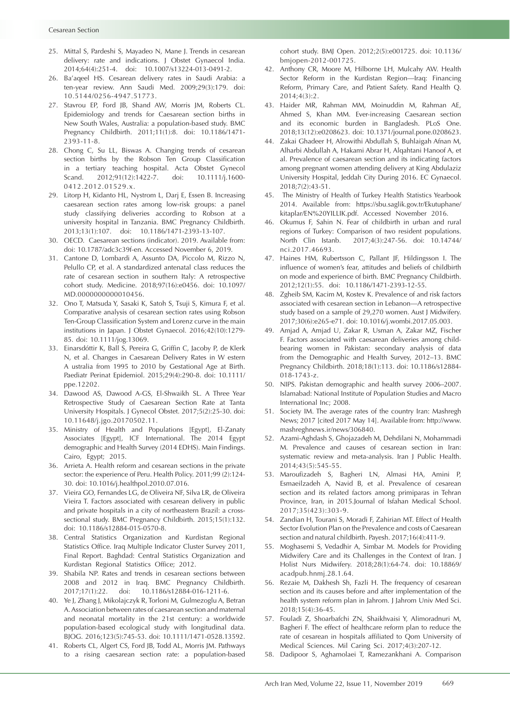- 25. Mittal S, Pardeshi S, Mayadeo N, Mane J. Trends in cesarean delivery: rate and indications. J Obstet Gynaecol India. 2014;64(4):251-4. doi: 10.1007/s13224-013-0491-2.
- 26. Ba'aqeel HS. Cesarean delivery rates in Saudi Arabia: a ten-year review. Ann Saudi Med. 2009;29(3):179. doi: 10.5144/0256-4947.51773.
- 27. Stavrou EP, Ford JB, Shand AW, Morris JM, Roberts CL. Epidemiology and trends for Caesarean section births in New South Wales, Australia: a population-based study. BMC Pregnancy Childbirth. 2011;11(1):8. doi: 10.1186/1471- 2393-11-8.
- 28. Chong C, Su LL, Biswas A. Changing trends of cesarean section births by the Robson Ten Group Classification in a tertiary teaching hospital. Acta Obstet Gynecol Scand. 2012;91(12):1422-7. doi: 10.1111/j.1600- 0412.2012.01529.x.
- 29. Litorp H, Kidanto HL, Nystrom L, Darj E, Essen B. Increasing caesarean section rates among low-risk groups: a panel study classifying deliveries according to Robson at a university hospital in Tanzania. BMC Pregnancy Childbirth. 2013;13(1):107. doi: 10.1186/1471-2393-13-107.
- 30. OECD. Caesarean sections (indicator). 2019. Available from: doi: 10.1787/adc3c39f-en. Accessed November 6, 2019.
- 31. Cantone D, Lombardi A, Assunto DA, Piccolo M, Rizzo N, Pelullo CP, et al. A standardized antenatal class reduces the rate of cesarean section in southern Italy: A retrospective cohort study. Medicine. 2018;97(16):e0456. doi: 10.1097/ MD.0000000000010456.
- 32. Ono T, Matsuda Y, Sasaki K, Satoh S, Tsuji S, Kimura F, et al. Comparative analysis of cesarean section rates using Robson Ten‐Group Classification System and Lorenz curve in the main institutions in Japan. J Obstet Gynaecol. 2016;42(10):1279- 85. doi: 10.1111/jog.13069.
- 33. Einarsdóttir K, Ball S, Pereira G, Griffin C, Jacoby P, de Klerk N, et al. Changes in Caesarean Delivery Rates in W estern A ustralia from 1995 to 2010 by Gestational Age at Birth. Paediatr Perinat Epidemiol. 2015;29(4):290-8. doi: 10.1111/ ppe.12202.
- 34. Dawood AS, Dawood A-GS, El-Shwaikh SL. A Three Year Retrospective Study of Caesarean Section Rate at Tanta University Hospitals. J Gynecol Obstet. 2017;5(2):25-30. doi: 10.11648/j.jgo.20170502.11.
- 35. Ministry of Health and Populations [Egypt], El-Zanaty Associates [Egypt], ICF International. The 2014 Egypt demographic and Health Survey (2014 EDHS). Main Findings. Cairo, Egypt; 2015.
- 36. Arrieta A. Health reform and cesarean sections in the private sector: the experience of Peru. Health Policy. 2011;99 (2):124- 30. doi: 10.1016/j.healthpol.2010.07.016.
- 37. Vieira GO, Fernandes LG, de Oliveira NF, Silva LR, de Oliveira Vieira T. Factors associated with cesarean delivery in public and private hospitals in a city of northeastern Brazil: a crosssectional study. BMC Pregnancy Childbirth. 2015;15(1):132. doi: 10.1186/s12884-015-0570-8.
- 38. Central Statistics Organization and Kurdistan Regional Statistics Office. Iraq Multiple Indicator Cluster Survey 2011, Final Report. Baghdad: Central Statistics Organization and Kurdistan Regional Statistics Office; 2012.
- 39. Shabila NP. Rates and trends in cesarean sections between 2008 and 2012 in Iraq. BMC Pregnancy Childbirth. 2017;17(1):22. doi: 10.1186/s12884-016-1211-6.
- 40. Ye J, Zhang J, Mikolajczyk R, Torloni M, Gulmezoglu A, Betran A. Association between rates of caesarean section and maternal and neonatal mortality in the 21st century: a worldwide population-based ecological study with longitudinal data. BJOG. 2016;123(5):745-53. doi: 10.1111/1471-0528.13592.
- 41. Roberts CL, Algert CS, Ford JB, Todd AL, Morris JM. Pathways to a rising caesarean section rate: a population-based

cohort study. BMJ Open. 2012;2(5):e001725. doi: 10.1136/ bmjopen-2012-001725.

- 42. Anthony CR, Moore M, Hilborne LH, Mulcahy AW. Health Sector Reform in the Kurdistan Region—Iraq: Financing Reform, Primary Care, and Patient Safety. Rand Health Q.  $2014:4(3):2$
- 43. Haider MR, Rahman MM, Moinuddin M, Rahman AE, Ahmed S, Khan MM. Ever-increasing Caesarean section and its economic burden in Bangladesh. PLoS One. 2018;13(12):e0208623. doi: 10.1371/journal.pone.0208623.
- 44. Zakai Ghadeer H, Alrowithi Abdullah S, Buhlaigah Afnan M, Alharbi Abdullah A, Hakami Abrar H, Alqahtani Hanoof A, et al. Prevalence of caesarean section and its indicating factors among pregnant women attending delivery at King Abdulaziz University Hospital, Jeddah City During 2016. EC Gynaecol. 2018;7(2):43-51.
- 45. The Ministry of Health of Turkey Health Statistics Yearbook 2014. Available from: [https://sbu.saglik.gov.tr/Ekutuphane/](https://sbu.saglik.gov.tr/Ekutuphane/kitaplar/EN%20YILLIK.pdf) [kitaplar/EN%20YILLIK.pdf.](https://sbu.saglik.gov.tr/Ekutuphane/kitaplar/EN%20YILLIK.pdf) Accessed November 2016.
- 46. Okumus F, Sahin N. Fear of childbirth in urban and rural regions of Turkey: Comparison of two resident populations. North Clin Istanb. 2017;4(3):247-56. doi: 10.14744/ nci.2017.46693.
- 47. Haines HM, Rubertsson C, Pallant JF, Hildingsson I. The influence of women's fear, attitudes and beliefs of childbirth on mode and experience of birth. BMC Pregnancy Childbirth. 2012;12(1):55. doi: 10.1186/1471-2393-12-55.
- 48. Zgheib SM, Kacim M, Kostev K. Prevalence of and risk factors associated with cesarean section in Lebanon—A retrospective study based on a sample of 29,270 women. Aust J Midwifery. 2017;30(6):e265-e71. doi: 10.1016/j.wombi.2017.05.003.
- 49. Amjad A, Amjad U, Zakar R, Usman A, Zakar MZ, Fischer F. Factors associated with caesarean deliveries among childbearing women in Pakistan: secondary analysis of data from the Demographic and Health Survey, 2012–13. BMC Pregnancy Childbirth. 2018;18(1):113. doi: 10.1186/s12884- 018-1743-z.
- 50. NIPS. Pakistan demographic and health survey 2006–2007. Islamabad: National Institute of Population Studies and Macro International Inc; 2008.
- 51. Society IM. The average rates of the country Iran: Mashregh News; 2017 [cited 2017 May 14]. Available from: [http://www.](http://www.mashreghnews.ir/news/306840) [mashreghnews.ir/news/306840.](http://www.mashreghnews.ir/news/306840)
- 52. Azami-Aghdash S, Ghojazadeh M, Dehdilani N, Mohammadi M. Prevalence and causes of cesarean section in Iran: systematic review and meta-analysis. Iran J Public Health. 2014;43(5):545-55.
- 53. Maroufizadeh S, Bagheri LN, Almasi HA, Amini P, Esmaeilzadeh A, Navid B, et al. Prevalence of cesarean section and its related factors among primiparas in Tehran Province, Iran, in 2015.Journal of Isfahan Medical School. 2017;35(423):303-9.
- 54. Zandian H, Tourani S, Moradi F, Zahirian MT. Effect of Health Sector Evolution Plan on the Prevalence and costs of Caesarean section and natural childbirth. Payesh. 2017;16(4):411-9.
- 55. Moghasemi S, Vedadhir A, Simbar M. Models for Providing Midwifery Care and its Challenges in the Context of Iran. J Holist Nurs Midwifery. 2018;28(1):64-74. doi: 10.18869/ acadpub.hnmj.28.1.64.
- 56. Rezaie M, Dakhesh Sh, Fazli H. The frequency of cesarean section and its causes before and after implementation of the health system reform plan in Jahrom. J Jahrom Univ Med Sci. 2018;15(4):36-45.
- 57. Fouladi Z, Shoarbafchi ZN, Shaikhvaisi Y, Alimoradnuri M, Bagheri F. The effect of healthcare reform plan to reduce the rate of cesarean in hospitals affiliated to Qom University of Medical Sciences. Mil Caring Sci. 2017;4(3):207-12.
- 58. Dadipoor S, Aghamolaei T, Ramezankhani A. Comparison